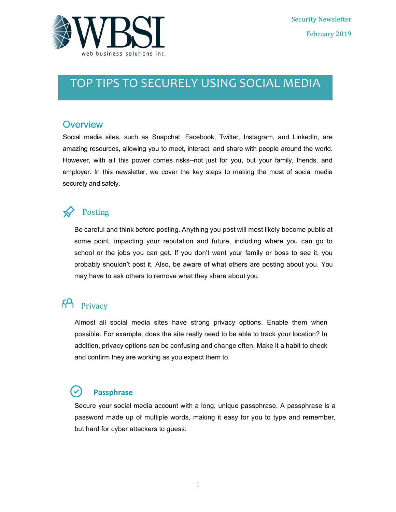

### TOP TIPS TO SECURELY USING SOCIAL MEDIA

#### **Overview**

Social media sites, such as Snapchat, Facebook, Twitter, Instagram, and LinkedIn, are amazing resources, allowing you to meet, interact, and share with people around the world. However, with all this power comes risks--not just for you, but your family, friends, and employer. In this newsletter, we cover the key steps to making the most of social media securely and safely.

### Posting

Be careful and think before posting. Anything you post will most likely become public at some point, impacting your reputation and future, including where you can go to school or the jobs you can get. If you don't want your family or boss to see it, you probably shouldn't post it. Also, be aware of what others are posting about you. You may have to ask others to remove what they share about you.

## Privacy

Almost all social media sites have strong privacy options. Enable them when possible. For example, does the site really need to be able to track your location? In addition, privacy options can be confusing and change often. Make it a habit to check and confirm they are working as you expect them to.

### **Passphrase**

Secure your social media account with a long, unique passphrase. A passphrase is a password made up of multiple words, making it easy for you to type and remember, but hard for cyber attackers to guess.